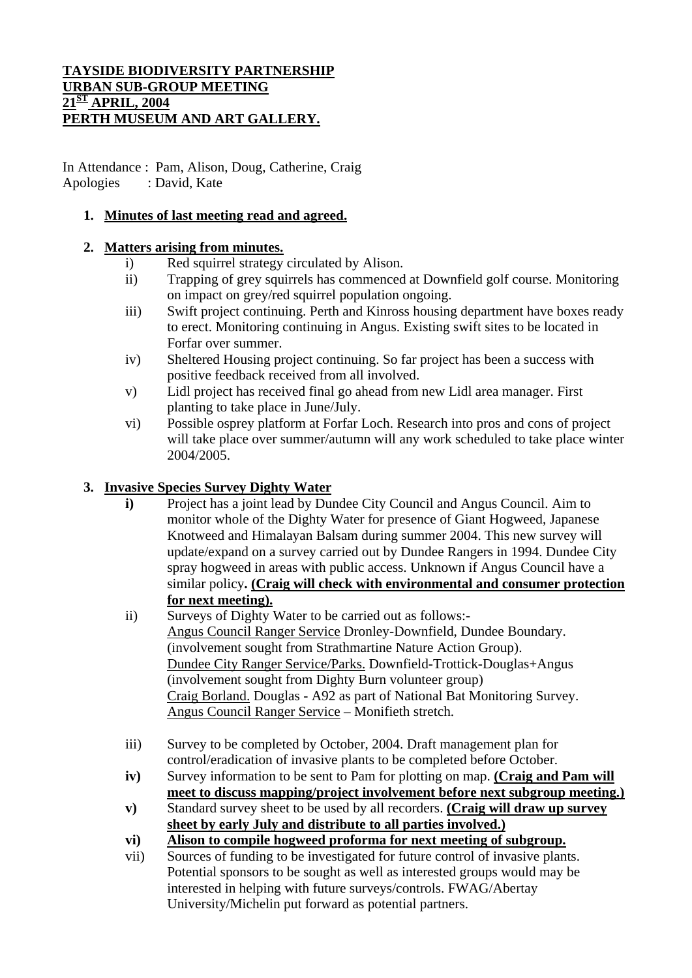#### **TAYSIDE BIODIVERSITY PARTNERSHIP URBAN SUB-GROUP MEETING 21ST APRIL, 2004 PERTH MUSEUM AND ART GALLERY.**

In Attendance : Pam, Alison, Doug, Catherine, Craig Apologies : David, Kate

## **1. Minutes of last meeting read and agreed.**

### **2. Matters arising from minutes.**

- i) Red squirrel strategy circulated by Alison.
- ii) Trapping of grey squirrels has commenced at Downfield golf course. Monitoring on impact on grey/red squirrel population ongoing.
- iii) Swift project continuing. Perth and Kinross housing department have boxes ready to erect. Monitoring continuing in Angus. Existing swift sites to be located in Forfar over summer.
- iv) Sheltered Housing project continuing. So far project has been a success with positive feedback received from all involved.
- v) Lidl project has received final go ahead from new Lidl area manager. First planting to take place in June/July.
- vi) Possible osprey platform at Forfar Loch. Research into pros and cons of project will take place over summer/autumn will any work scheduled to take place winter 2004/2005.

### **3. Invasive Species Survey Dighty Water**

- **i)** Project has a joint lead by Dundee City Council and Angus Council. Aim to monitor whole of the Dighty Water for presence of Giant Hogweed, Japanese Knotweed and Himalayan Balsam during summer 2004. This new survey will update/expand on a survey carried out by Dundee Rangers in 1994. Dundee City spray hogweed in areas with public access. Unknown if Angus Council have a similar policy**. (Craig will check with environmental and consumer protection for next meeting).**
- ii) Surveys of Dighty Water to be carried out as follows:- Angus Council Ranger Service Dronley-Downfield, Dundee Boundary. (involvement sought from Strathmartine Nature Action Group). Dundee City Ranger Service/Parks. Downfield-Trottick-Douglas+Angus (involvement sought from Dighty Burn volunteer group) Craig Borland. Douglas - A92 as part of National Bat Monitoring Survey. Angus Council Ranger Service – Monifieth stretch.
- iii) Survey to be completed by October, 2004. Draft management plan for control/eradication of invasive plants to be completed before October.
- **iv)** Survey information to be sent to Pam for plotting on map. **(Craig and Pam will meet to discuss mapping/project involvement before next subgroup meeting.)**
- **v)** Standard survey sheet to be used by all recorders. **(Craig will draw up survey sheet by early July and distribute to all parties involved.)**
- **vi) Alison to compile hogweed proforma for next meeting of subgroup.**
- vii) Sources of funding to be investigated for future control of invasive plants. Potential sponsors to be sought as well as interested groups would may be interested in helping with future surveys/controls. FWAG/Abertay University/Michelin put forward as potential partners.